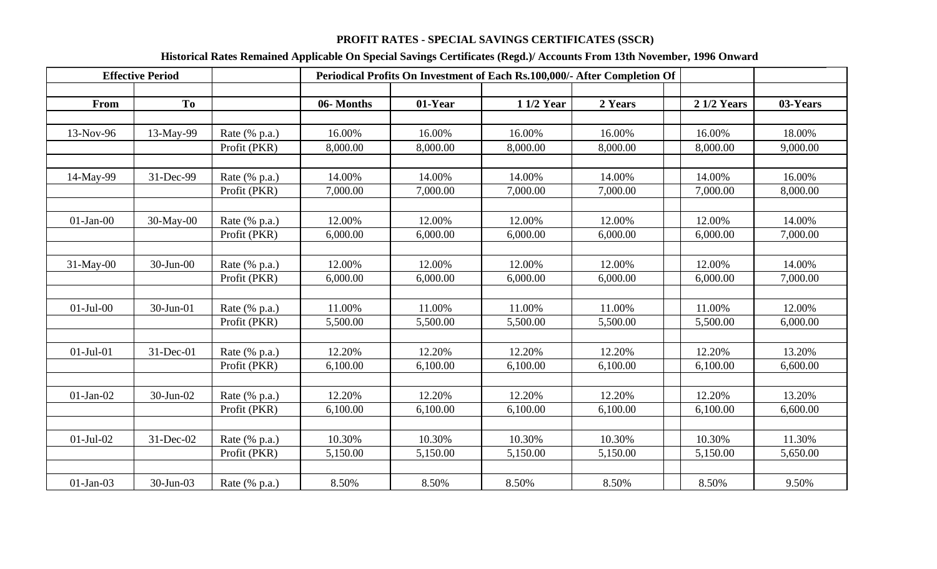## **PROFIT RATES - SPECIAL SAVINGS CERTIFICATES (SSCR)**

## **Historical Rates Remained Applicable On Special Savings Certificates (Regd.)/ Accounts From 13th November, 1996 Onward**

|                 | <b>Effective Period</b> |               |           | Periodical Profits On Investment of Each Rs.100,000/- After Completion Of |            |          |                    |          |  |  |  |
|-----------------|-------------------------|---------------|-----------|---------------------------------------------------------------------------|------------|----------|--------------------|----------|--|--|--|
|                 |                         |               |           |                                                                           |            |          |                    |          |  |  |  |
| From            | T <sub>o</sub>          |               | 06-Months | 01-Year                                                                   | 1 1/2 Year | 2 Years  | <b>2 1/2 Years</b> | 03-Years |  |  |  |
|                 |                         |               |           |                                                                           |            |          |                    |          |  |  |  |
| 13-Nov-96       | 13-May-99               | Rate (% p.a.) | 16.00%    | 16.00%                                                                    | 16.00%     | 16.00%   | 16.00%             | 18.00%   |  |  |  |
|                 |                         | Profit (PKR)  | 8,000.00  | 8,000.00                                                                  | 8,000.00   | 8,000.00 | 8,000.00           | 9,000.00 |  |  |  |
|                 |                         |               |           |                                                                           |            |          |                    |          |  |  |  |
| 14-May-99       | 31-Dec-99               | Rate (% p.a.) | 14.00%    | 14.00%                                                                    | 14.00%     | 14.00%   | 14.00%             | 16.00%   |  |  |  |
|                 |                         | Profit (PKR)  | 7,000.00  | 7,000.00                                                                  | 7,000.00   | 7,000.00 | 7,000.00           | 8,000.00 |  |  |  |
|                 |                         |               |           |                                                                           |            |          |                    |          |  |  |  |
| $01-Jan-00$     | $30$ -May-00            | Rate (% p.a.) | 12.00%    | 12.00%                                                                    | 12.00%     | 12.00%   | 12.00%             | 14.00%   |  |  |  |
|                 |                         | Profit (PKR)  | 6,000.00  | 6,000.00                                                                  | 6,000.00   | 6,000.00 | 6,000.00           | 7,000.00 |  |  |  |
|                 |                         |               |           |                                                                           |            |          |                    |          |  |  |  |
| 31-May-00       | $30$ -Jun- $00$         | Rate (% p.a.) | 12.00%    | 12.00%                                                                    | 12.00%     | 12.00%   | 12.00%             | 14.00%   |  |  |  |
|                 |                         | Profit (PKR)  | 6,000.00  | 6,000.00                                                                  | 6,000.00   | 6,000.00 | 6,000.00           | 7,000.00 |  |  |  |
|                 |                         |               |           |                                                                           |            |          |                    |          |  |  |  |
| $01-Jul-00$     | 30-Jun-01               | Rate (% p.a.) | 11.00%    | 11.00%                                                                    | 11.00%     | 11.00%   | 11.00%             | 12.00%   |  |  |  |
|                 |                         | Profit (PKR)  | 5,500.00  | 5,500.00                                                                  | 5,500.00   | 5,500.00 | 5,500.00           | 6,000.00 |  |  |  |
|                 |                         |               |           |                                                                           |            |          |                    |          |  |  |  |
| $01-Jul-01$     | 31-Dec-01               | Rate (% p.a.) | 12.20%    | 12.20%                                                                    | 12.20%     | 12.20%   | 12.20%             | 13.20%   |  |  |  |
|                 |                         | Profit (PKR)  | 6,100.00  | 6,100.00                                                                  | 6,100.00   | 6,100.00 | 6,100.00           | 6,600.00 |  |  |  |
|                 |                         |               |           |                                                                           |            |          |                    |          |  |  |  |
| $01-Jan-02$     | 30-Jun-02               | Rate (% p.a.) | 12.20%    | 12.20%                                                                    | 12.20%     | 12.20%   | 12.20%             | 13.20%   |  |  |  |
|                 |                         | Profit (PKR)  | 6,100.00  | 6,100.00                                                                  | 6,100.00   | 6,100.00 | 6,100.00           | 6,600.00 |  |  |  |
|                 |                         |               |           |                                                                           |            |          |                    |          |  |  |  |
| $01$ -Jul- $02$ | 31-Dec-02               | Rate (% p.a.) | 10.30%    | 10.30%                                                                    | 10.30%     | 10.30%   | 10.30%             | 11.30%   |  |  |  |
|                 |                         | Profit (PKR)  | 5,150.00  | 5,150.00                                                                  | 5,150.00   | 5,150.00 | 5,150.00           | 5,650.00 |  |  |  |
|                 |                         |               |           |                                                                           |            |          |                    |          |  |  |  |
| $01-Jan-03$     | 30-Jun-03               | Rate (% p.a.) | 8.50%     | 8.50%                                                                     | 8.50%      | 8.50%    | 8.50%              | 9.50%    |  |  |  |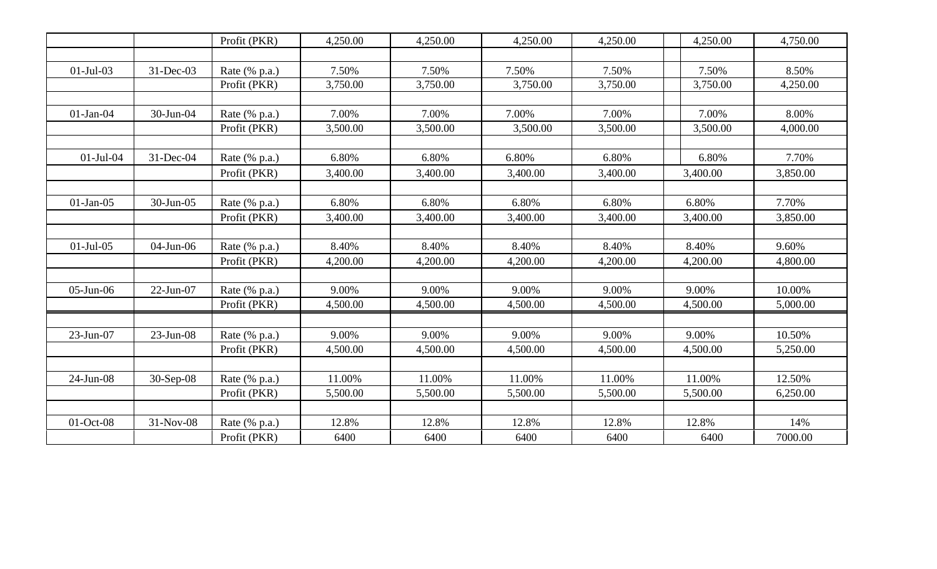|                 |              | Profit (PKR)  | 4,250.00 | 4,250.00 | 4,250.00 | 4,250.00 | 4,250.00 | 4,750.00 |
|-----------------|--------------|---------------|----------|----------|----------|----------|----------|----------|
|                 |              |               |          |          |          |          |          |          |
| $01-Jul-03$     | 31-Dec-03    | Rate (% p.a.) | 7.50%    | 7.50%    | 7.50%    | 7.50%    | 7.50%    | 8.50%    |
|                 |              | Profit (PKR)  | 3,750.00 | 3,750.00 | 3,750.00 | 3,750.00 | 3,750.00 | 4,250.00 |
|                 |              |               |          |          |          |          |          |          |
| $01-Jan-04$     | 30-Jun-04    | Rate (% p.a.) | 7.00%    | 7.00%    | 7.00%    | 7.00%    | 7.00%    | 8.00%    |
|                 |              | Profit (PKR)  | 3,500.00 | 3,500.00 | 3,500.00 | 3,500.00 | 3,500.00 | 4,000.00 |
|                 |              |               |          |          |          |          |          |          |
| $01-Jul-04$     | 31-Dec-04    | Rate (% p.a.) | 6.80%    | 6.80%    | 6.80%    | 6.80%    | 6.80%    | 7.70%    |
|                 |              | Profit (PKR)  | 3,400.00 | 3,400.00 | 3,400.00 | 3,400.00 | 3,400.00 | 3,850.00 |
|                 |              |               |          |          |          |          |          |          |
| $01-Jan-05$     | 30-Jun-05    | Rate (% p.a.) | 6.80%    | 6.80%    | 6.80%    | 6.80%    | 6.80%    | 7.70%    |
|                 |              | Profit (PKR)  | 3,400.00 | 3,400.00 | 3,400.00 | 3,400.00 | 3,400.00 | 3,850.00 |
|                 |              |               |          |          |          |          |          |          |
| $01-Jul-05$     | 04-Jun-06    | Rate (% p.a.) | 8.40%    | 8.40%    | 8.40%    | 8.40%    | 8.40%    | 9.60%    |
|                 |              | Profit (PKR)  | 4,200.00 | 4,200.00 | 4,200.00 | 4,200.00 | 4,200.00 | 4,800.00 |
|                 |              |               |          |          |          |          |          |          |
| $05$ -Jun- $06$ | $22-Jun-07$  | Rate (% p.a.) | 9.00%    | 9.00%    | 9.00%    | 9.00%    | 9.00%    | 10.00%   |
|                 |              | Profit (PKR)  | 4,500.00 | 4,500.00 | 4,500.00 | 4,500.00 | 4,500.00 | 5,000.00 |
|                 |              |               |          |          |          |          |          |          |
| $23$ -Jun-07    | $23$ -Jun-08 | Rate (% p.a.) | 9.00%    | 9.00%    | 9.00%    | 9.00%    | 9.00%    | 10.50%   |
|                 |              | Profit (PKR)  | 4,500.00 | 4,500.00 | 4,500.00 | 4,500.00 | 4,500.00 | 5,250.00 |
|                 |              |               |          |          |          |          |          |          |
| 24-Jun-08       | $30-Sep-08$  | Rate (% p.a.) | 11.00%   | 11.00%   | 11.00%   | 11.00%   | 11.00%   | 12.50%   |
|                 |              | Profit (PKR)  | 5,500.00 | 5,500.00 | 5,500.00 | 5,500.00 | 5,500.00 | 6,250.00 |
|                 |              |               |          |          |          |          |          |          |
| 01-Oct-08       | 31-Nov-08    | Rate (% p.a.) | 12.8%    | 12.8%    | 12.8%    | 12.8%    | 12.8%    | 14%      |
|                 |              | Profit (PKR)  | 6400     | 6400     | 6400     | 6400     | 6400     | 7000.00  |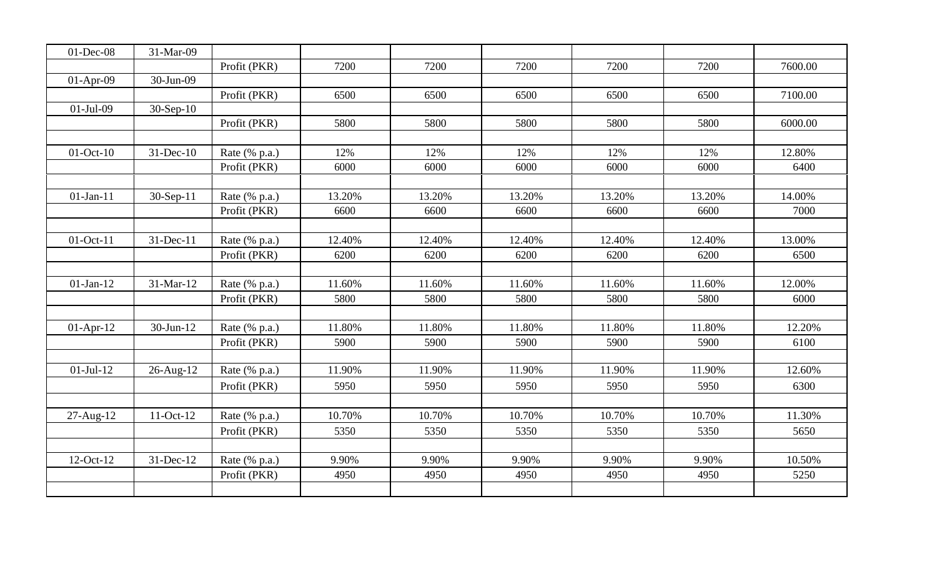| $01$ -Dec-08 | 31-Mar-09       |               |        |        |        |        |        |         |
|--------------|-----------------|---------------|--------|--------|--------|--------|--------|---------|
|              |                 | Profit (PKR)  | 7200   | 7200   | 7200   | 7200   | 7200   | 7600.00 |
| $01-Apr-09$  | 30-Jun-09       |               |        |        |        |        |        |         |
|              |                 | Profit (PKR)  | 6500   | 6500   | 6500   | 6500   | 6500   | 7100.00 |
| $01-Jul-09$  | $30-Sep-10$     |               |        |        |        |        |        |         |
|              |                 | Profit (PKR)  | 5800   | 5800   | 5800   | 5800   | 5800   | 6000.00 |
|              |                 |               |        |        |        |        |        |         |
| $01-Oct-10$  | 31-Dec-10       | Rate (% p.a.) | 12%    | 12%    | 12%    | 12%    | 12%    | 12.80%  |
|              |                 | Profit (PKR)  | 6000   | 6000   | 6000   | 6000   | 6000   | 6400    |
|              |                 |               |        |        |        |        |        |         |
| $01-Jan-11$  | 30-Sep-11       | Rate (% p.a.) | 13.20% | 13.20% | 13.20% | 13.20% | 13.20% | 14.00%  |
|              |                 | Profit (PKR)  | 6600   | 6600   | 6600   | 6600   | 6600   | 7000    |
|              |                 |               |        |        |        |        |        |         |
| 01-Oct-11    | 31-Dec-11       | Rate (% p.a.) | 12.40% | 12.40% | 12.40% | 12.40% | 12.40% | 13.00%  |
|              |                 | Profit (PKR)  | 6200   | 6200   | 6200   | 6200   | 6200   | 6500    |
|              |                 |               |        |        |        |        |        |         |
| $01-Jan-12$  | 31-Mar-12       | Rate (% p.a.) | 11.60% | 11.60% | 11.60% | 11.60% | 11.60% | 12.00%  |
|              |                 | Profit (PKR)  | 5800   | 5800   | 5800   | 5800   | 5800   | 6000    |
|              |                 |               |        |        |        |        |        |         |
| $01-Apr-12$  | $30$ -Jun- $12$ | Rate (% p.a.) | 11.80% | 11.80% | 11.80% | 11.80% | 11.80% | 12.20%  |
|              |                 | Profit (PKR)  | 5900   | 5900   | 5900   | 5900   | 5900   | 6100    |
|              |                 |               |        |        |        |        |        |         |
| $01-Jul-12$  | 26-Aug-12       | Rate (% p.a.) | 11.90% | 11.90% | 11.90% | 11.90% | 11.90% | 12.60%  |
|              |                 | Profit (PKR)  | 5950   | 5950   | 5950   | 5950   | 5950   | 6300    |
|              |                 |               |        |        |        |        |        |         |
| 27-Aug-12    | 11-Oct-12       | Rate (% p.a.) | 10.70% | 10.70% | 10.70% | 10.70% | 10.70% | 11.30%  |
|              |                 | Profit (PKR)  | 5350   | 5350   | 5350   | 5350   | 5350   | 5650    |
|              |                 |               |        |        |        |        |        |         |
| 12-Oct-12    | 31-Dec-12       | Rate (% p.a.) | 9.90%  | 9.90%  | 9.90%  | 9.90%  | 9.90%  | 10.50%  |
|              |                 | Profit (PKR)  | 4950   | 4950   | 4950   | 4950   | 4950   | 5250    |
|              |                 |               |        |        |        |        |        |         |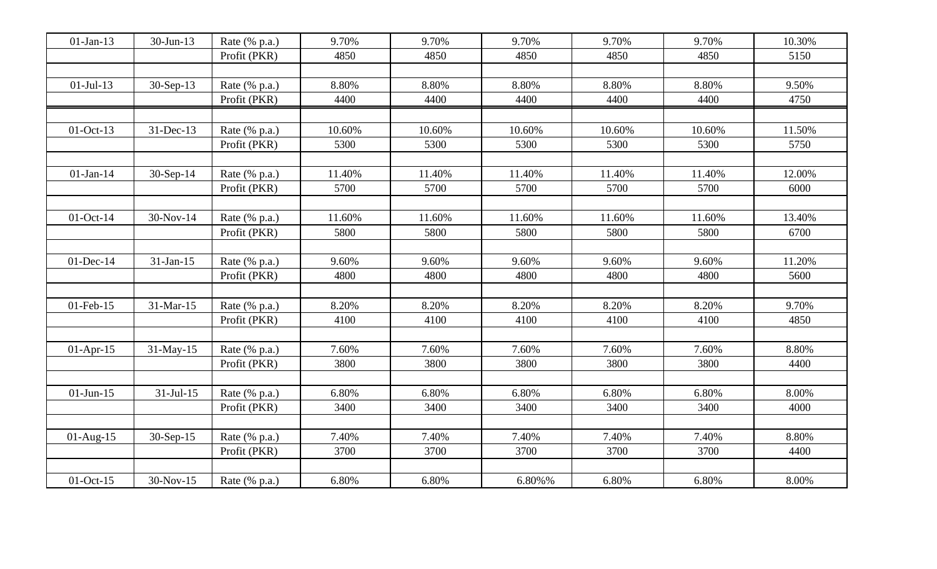| $01-Jan-13$     | 30-Jun-13   | Rate (% p.a.) | 9.70%  | 9.70%  | 9.70%  | 9.70%  | 9.70%  | 10.30% |
|-----------------|-------------|---------------|--------|--------|--------|--------|--------|--------|
|                 |             | Profit (PKR)  | 4850   | 4850   | 4850   | 4850   | 4850   | 5150   |
|                 |             |               |        |        |        |        |        |        |
| $01-Jul-13$     | 30-Sep-13   | Rate (% p.a.) | 8.80%  | 8.80%  | 8.80%  | 8.80%  | 8.80%  | 9.50%  |
|                 |             | Profit (PKR)  | 4400   | 4400   | 4400   | 4400   | 4400   | 4750   |
|                 |             |               |        |        |        |        |        |        |
| $01-Oct-13$     | 31-Dec-13   | Rate (% p.a.) | 10.60% | 10.60% | 10.60% | 10.60% | 10.60% | 11.50% |
|                 |             | Profit (PKR)  | 5300   | 5300   | 5300   | 5300   | 5300   | 5750   |
|                 |             |               |        |        |        |        |        |        |
| $01$ -Jan-14    | 30-Sep-14   | Rate (% p.a.) | 11.40% | 11.40% | 11.40% | 11.40% | 11.40% | 12.00% |
|                 |             | Profit (PKR)  | 5700   | 5700   | 5700   | 5700   | 5700   | 6000   |
|                 |             |               |        |        |        |        |        |        |
| $01$ -Oct-14    | 30-Nov-14   | Rate (% p.a.) | 11.60% | 11.60% | 11.60% | 11.60% | 11.60% | 13.40% |
|                 |             | Profit (PKR)  | 5800   | 5800   | 5800   | 5800   | 5800   | 6700   |
|                 |             |               |        |        |        |        |        |        |
| $01$ -Dec-14    | 31-Jan-15   | Rate (% p.a.) | 9.60%  | 9.60%  | 9.60%  | 9.60%  | 9.60%  | 11.20% |
|                 |             | Profit (PKR)  | 4800   | 4800   | 4800   | 4800   | 4800   | 5600   |
|                 |             |               |        |        |        |        |        |        |
| $01$ -Feb- $15$ | 31-Mar-15   | Rate (% p.a.) | 8.20%  | 8.20%  | 8.20%  | 8.20%  | 8.20%  | 9.70%  |
|                 |             | Profit (PKR)  | 4100   | 4100   | 4100   | 4100   | 4100   | 4850   |
|                 |             |               |        |        |        |        |        |        |
| $01-Apr-15$     | 31-May-15   | Rate (% p.a.) | 7.60%  | 7.60%  | 7.60%  | 7.60%  | 7.60%  | 8.80%  |
|                 |             | Profit (PKR)  | 3800   | 3800   | 3800   | 3800   | 3800   | 4400   |
|                 |             |               |        |        |        |        |        |        |
| $01$ -Jun-15    | $31-Jul-15$ | Rate (% p.a.) | 6.80%  | 6.80%  | 6.80%  | 6.80%  | 6.80%  | 8.00%  |
|                 |             | Profit (PKR)  | 3400   | 3400   | 3400   | 3400   | 3400   | 4000   |
|                 |             |               |        |        |        |        |        |        |
| $01$ -Aug-15    | $30-Sep-15$ | Rate (% p.a.) | 7.40%  | 7.40%  | 7.40%  | 7.40%  | 7.40%  | 8.80%  |
|                 |             | Profit (PKR)  | 3700   | 3700   | 3700   | 3700   | 3700   | 4400   |
|                 |             |               |        |        |        |        |        |        |
| 01-Oct-15       | 30-Nov-15   | Rate (% p.a.) | 6.80%  | 6.80%  | 6.80%% | 6.80%  | 6.80%  | 8.00%  |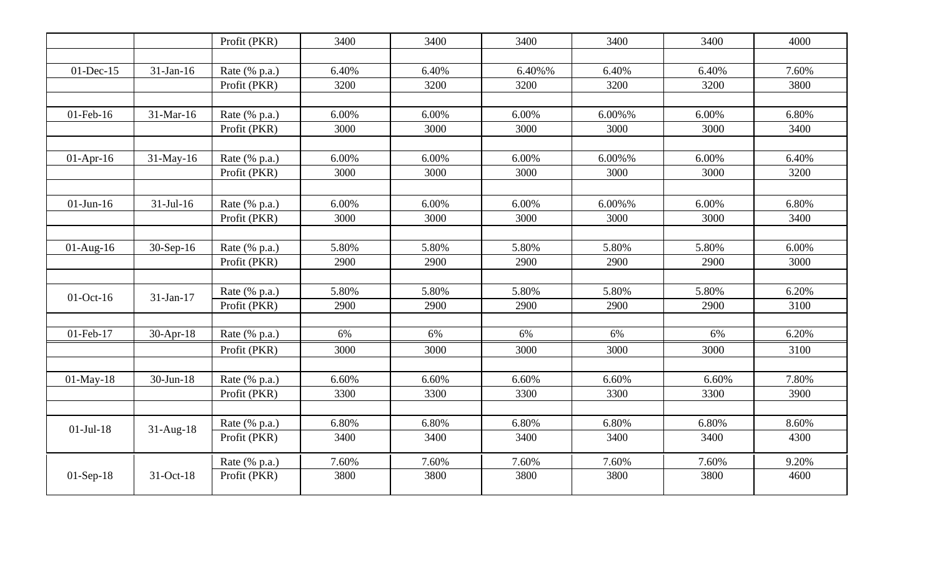|              |              | Profit (PKR)  | 3400  | 3400  | 3400   | 3400   | 3400  | 4000  |
|--------------|--------------|---------------|-------|-------|--------|--------|-------|-------|
|              |              |               |       |       |        |        |       |       |
| $01$ -Dec-15 | 31-Jan-16    | Rate (% p.a.) | 6.40% | 6.40% | 6.40%% | 6.40%  | 6.40% | 7.60% |
|              |              | Profit (PKR)  | 3200  | 3200  | 3200   | 3200   | 3200  | 3800  |
|              |              |               |       |       |        |        |       |       |
| 01-Feb-16    | 31-Mar-16    | Rate (% p.a.) | 6.00% | 6.00% | 6.00%  | 6.00%% | 6.00% | 6.80% |
|              |              | Profit (PKR)  | 3000  | 3000  | 3000   | 3000   | 3000  | 3400  |
|              |              |               |       |       |        |        |       |       |
| $01-Apr-16$  | 31-May-16    | Rate (% p.a.) | 6.00% | 6.00% | 6.00%  | 6.00%% | 6.00% | 6.40% |
|              |              | Profit (PKR)  | 3000  | 3000  | 3000   | 3000   | 3000  | 3200  |
|              |              |               |       |       |        |        |       |       |
| $01-Jun-16$  | $31-Jul-16$  | Rate (% p.a.) | 6.00% | 6.00% | 6.00%  | 6.00%% | 6.00% | 6.80% |
|              |              | Profit (PKR)  | 3000  | 3000  | 3000   | 3000   | 3000  | 3400  |
|              |              |               |       |       |        |        |       |       |
| $01-Aug-16$  | 30-Sep-16    | Rate (% p.a.) | 5.80% | 5.80% | 5.80%  | 5.80%  | 5.80% | 6.00% |
|              |              | Profit (PKR)  | 2900  | 2900  | 2900   | 2900   | 2900  | 3000  |
|              |              |               |       |       |        |        |       |       |
| $01-Oct-16$  | 31-Jan-17    | Rate (% p.a.) | 5.80% | 5.80% | 5.80%  | 5.80%  | 5.80% | 6.20% |
|              |              | Profit (PKR)  | 2900  | 2900  | 2900   | 2900   | 2900  | 3100  |
|              |              |               |       |       |        |        |       |       |
| 01-Feb-17    | $30-Apr-18$  | Rate (% p.a.) | 6%    | 6%    | 6%     | 6%     | 6%    | 6.20% |
|              |              | Profit (PKR)  | 3000  | 3000  | 3000   | 3000   | 3000  | 3100  |
|              |              |               |       |       |        |        |       |       |
| 01-May-18    | $30$ -Jun-18 | Rate (% p.a.) | 6.60% | 6.60% | 6.60%  | 6.60%  | 6.60% | 7.80% |
|              |              | Profit (PKR)  | 3300  | 3300  | 3300   | 3300   | 3300  | 3900  |
|              |              |               |       |       |        |        |       |       |
|              |              | Rate (% p.a.) | 6.80% | 6.80% | 6.80%  | 6.80%  | 6.80% | 8.60% |
| $01-Jul-18$  | $31-Aug-18$  | Profit (PKR)  | 3400  | 3400  | 3400   | 3400   | 3400  | 4300  |
|              |              | Rate (% p.a.) | 7.60% | 7.60% | 7.60%  | 7.60%  | 7.60% | 9.20% |
| $01-Sep-18$  | 31-Oct-18    | Profit (PKR)  | 3800  | 3800  | 3800   | 3800   | 3800  | 4600  |